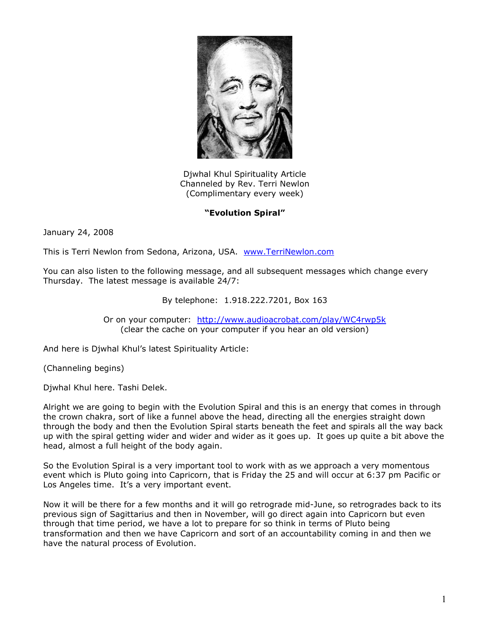

Djwhal Khul Spirituality Article Channeled by Rev. Terri Newlon (Complimentary every week)

## **"Evolution Spiral"**

January 24, 2008

This is Terri Newlon from Sedona, Arizona, USA. [www.TerriNewlon.com](http://www.terrinewlon.com/)

You can also listen to the following message, and all subsequent messages which change every Thursday. The latest message is available 24/7:

By telephone: 1.918.222.7201, Box 163

Or on your computer: <http://www.audioacrobat.com/play/WC4rwp5k> (clear the cache on your computer if you hear an old version)

And here is Djwhal Khul's latest Spirituality Article:

(Channeling begins)

Djwhal Khul here. Tashi Delek.

Alright we are going to begin with the Evolution Spiral and this is an energy that comes in through the crown chakra, sort of like a funnel above the head, directing all the energies straight down through the body and then the Evolution Spiral starts beneath the feet and spirals all the way back up with the spiral getting wider and wider and wider as it goes up. It goes up quite a bit above the head, almost a full height of the body again.

So the Evolution Spiral is a very important tool to work with as we approach a very momentous event which is Pluto going into Capricorn, that is Friday the 25 and will occur at 6:37 pm Pacific or Los Angeles time. It's a very important event.

Now it will be there for a few months and it will go retrograde mid-June, so retrogrades back to its previous sign of Sagittarius and then in November, will go direct again into Capricorn but even through that time period, we have a lot to prepare for so think in terms of Pluto being transformation and then we have Capricorn and sort of an accountability coming in and then we have the natural process of Evolution.